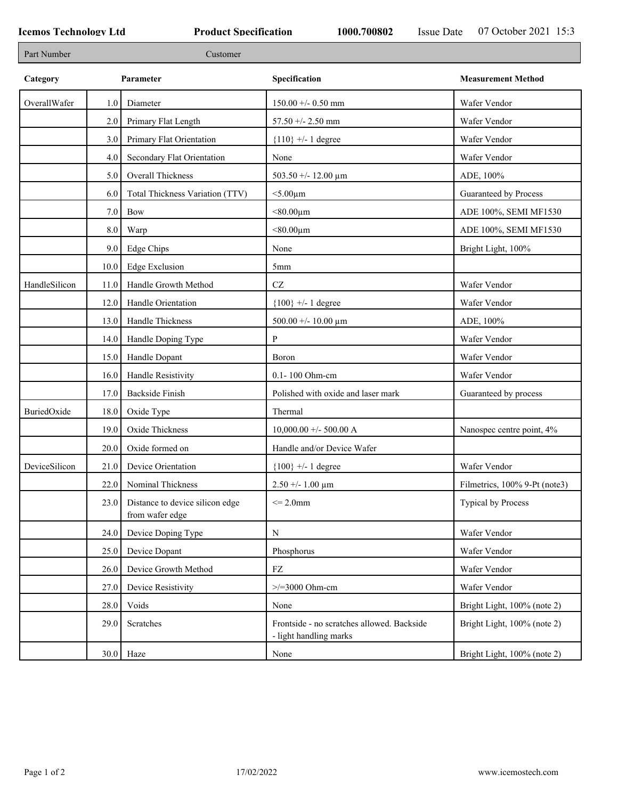| Part Number   | Customer |                                                    |                                                                      |                               |  |  |
|---------------|----------|----------------------------------------------------|----------------------------------------------------------------------|-------------------------------|--|--|
| Category      |          | Parameter                                          | Specification                                                        | <b>Measurement Method</b>     |  |  |
| OverallWafer  | 1.0      | Diameter                                           | $150.00 + - 0.50$ mm                                                 | Wafer Vendor                  |  |  |
|               | 2.0      | Primary Flat Length                                | 57.50 +/- 2.50 mm                                                    | Wafer Vendor                  |  |  |
|               | 3.0      | Primary Flat Orientation                           | ${110}$ +/- 1 degree                                                 | Wafer Vendor                  |  |  |
|               | 4.0      | Secondary Flat Orientation                         | None                                                                 | Wafer Vendor                  |  |  |
|               | 5.0      | Overall Thickness                                  | 503.50 +/- 12.00 $\mu$ m                                             | ADE, 100%                     |  |  |
|               | 6.0      | Total Thickness Variation (TTV)                    | $<$ 5.00 $\mu$ m                                                     | Guaranteed by Process         |  |  |
|               | 7.0      | Bow                                                | $< 80.00 \mu m$                                                      | ADE 100%, SEMI MF1530         |  |  |
|               | 8.0      | Warp                                               | $< 80.00 \mu m$                                                      | ADE 100%, SEMI MF1530         |  |  |
|               | 9.0      | Edge Chips                                         | None                                                                 | Bright Light, 100%            |  |  |
|               | 10.0     | Edge Exclusion                                     | 5 <sub>mm</sub>                                                      |                               |  |  |
| HandleSilicon | 11.0     | Handle Growth Method                               | $\operatorname{CZ}$                                                  | Wafer Vendor                  |  |  |
|               | 12.0     | Handle Orientation                                 | ${100}$ +/- 1 degree                                                 | Wafer Vendor                  |  |  |
|               | 13.0     | Handle Thickness                                   | 500.00 +/- 10.00 $\mu$ m                                             | ADE, 100%                     |  |  |
|               | 14.0     | Handle Doping Type                                 | P                                                                    | Wafer Vendor                  |  |  |
|               | 15.0     | Handle Dopant                                      | Boron                                                                | Wafer Vendor                  |  |  |
|               | 16.0     | Handle Resistivity                                 | 0.1-100 Ohm-cm                                                       | Wafer Vendor                  |  |  |
|               | 17.0     | <b>Backside Finish</b>                             | Polished with oxide and laser mark                                   | Guaranteed by process         |  |  |
| BuriedOxide   | 18.0     | Oxide Type                                         | Thermal                                                              |                               |  |  |
|               | 19.0     | Oxide Thickness                                    | $10,000.00 +/- 500.00 A$                                             | Nanospec centre point, 4%     |  |  |
|               | 20.0     | Oxide formed on                                    | Handle and/or Device Wafer                                           |                               |  |  |
| DeviceSilicon | 21.0     | Device Orientation                                 | ${100}$ +/- 1 degree                                                 | Wafer Vendor                  |  |  |
|               | 22.0     | Nominal Thickness                                  | $2.50 + - 1.00 \mu m$                                                | Filmetrics, 100% 9-Pt (note3) |  |  |
|               | 23.0     | Distance to device silicon edge<br>from wafer edge | $\leq$ 2.0mm                                                         | <b>Typical by Process</b>     |  |  |
|               | 24.0     | Device Doping Type                                 | ${\bf N}$                                                            | Wafer Vendor                  |  |  |
|               | 25.0     | Device Dopant                                      | Phosphorus                                                           | Wafer Vendor                  |  |  |
|               | 26.0     | Device Growth Method                               | ${\rm FZ}$                                                           | Wafer Vendor                  |  |  |
|               | 27.0     | Device Resistivity                                 | $\ge$ /=3000 Ohm-cm                                                  | Wafer Vendor                  |  |  |
|               | 28.0     | Voids                                              | None                                                                 | Bright Light, 100% (note 2)   |  |  |
|               | 29.0     | Scratches                                          | Frontside - no scratches allowed. Backside<br>- light handling marks | Bright Light, 100% (note 2)   |  |  |
|               |          | $30.0$ Haze                                        | None                                                                 | Bright Light, 100% (note 2)   |  |  |